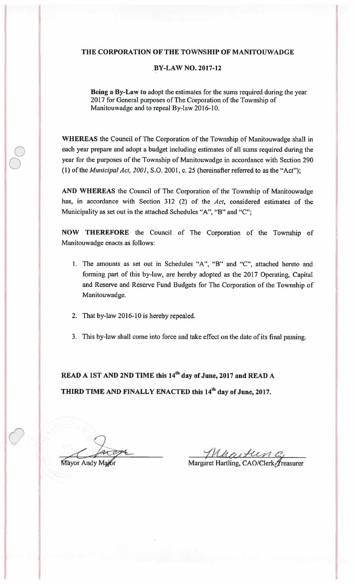## THE CORPORATION OF THE TOWNSHIP OF MANITOUWADGE

## BY-LAW NO. 2017-12

Bcing a By-Law to adopt the estimates for the sums required during the year 2017 for General purposes of The Corporation of the Township of Manitouwadge and to repeal By-law 2016-10.

WHEREAS the Council of The Corporation of the Township of Manitouwadge shall in each year prepare and adopt a budget including estimates of all sums required during the year for the purposes of the Township of Manitouwadge in accordance with Section 290 (1) of the *Municipal Act*,  $2001$ , S.O. 2001, c. 25 (hereinafter referred to as the "Act");

AND WHEREAS the Council of The Corporation of the Township of Manitouwadge has, in accordance with Section 312 (2) of the Act, considered estimates of the Municipality as set out in the attached Schedules "A", "B" and "C";

NOW THEREFORE the Council of The Corporation of the Township of Manitouwadge enacts as follows:

- 1. The amounts as set out in Schedules "A", "B" and "C", attached hereto and forming part of this by-law, are hereby adopted as the 2017 Operating, Capital and Reserve and Reserve Fund Budgets for The Corporation of the Township of Manitouwadge.
- 2. That by-law 2016-10 is hereby repealed.
- 3. This by-law shall come into force and take effect on the date of its final passing.

READ A 1ST AND 2ND TIME this 14<sup>th</sup> day of June, 2017 and READ A THIRD TIME AND FINALLY ENACTED this 14<sup>th</sup> day of June, 2017.

Mullet C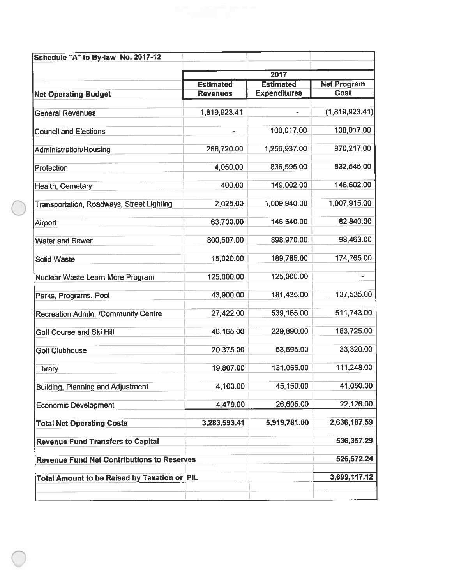|                                                     |                  | 2017                |                    |  |
|-----------------------------------------------------|------------------|---------------------|--------------------|--|
|                                                     | <b>Estimated</b> | <b>Estimated</b>    | <b>Net Program</b> |  |
| <b>Net Operating Budget</b>                         | <b>Revenues</b>  | <b>Expenditures</b> | <b>Cost</b>        |  |
|                                                     |                  |                     |                    |  |
| <b>General Revenues</b>                             | 1,819,923.41     |                     | (1,819,923.41)     |  |
| <b>Council and Elections</b>                        |                  | 100,017.00          | 100,017.00         |  |
| Administration/Housing                              | 286,720.00       | 1,256,937.00        | 970,217.00         |  |
| Protection                                          | 4,050.00         | 836,595.00          | 832,545.00         |  |
| Health, Cemetary                                    | 400.00           | 149,002.00          | 148,602.00         |  |
| Transportation, Roadways, Street Lighting           | 2,025.00         | 1,009,940.00        | 1,007,915.00       |  |
| Airport                                             | 63,700.00        | 146,540.00          | 82,840.00          |  |
| <b>Water and Sewer</b>                              | 800,507.00       | 898,970.00          | 98,463.00          |  |
| <b>Solid Waste</b>                                  | 15,020.00        | 189,785.00          | 174,765.00         |  |
| Nuclear Waste Learn More Program                    | 125,000.00       | 125,000.00          |                    |  |
| Parks, Programs, Pool                               | 43,900.00        | 181,435.00          | 137,535.00         |  |
| <b>Recreation Admin. /Community Centre</b>          | 27,422.00        | 539,165.00          | 511,743.00         |  |
| <b>Golf Course and Ski Hill</b>                     | 46,165.00        | 229,890.00          | 183,725.00         |  |
| <b>Golf Clubhouse</b>                               | 20,375.00        | 53,695.00           | 33,320.00          |  |
| Library                                             | 19,807.00        | 131,055.00          | 111,248.00         |  |
| <b>Building, Planning and Adjustment</b>            | 4,100.00         | 45,150.00           | 41,050.00          |  |
| <b>Economic Development</b>                         | 4,479.00         | 26,605.00           | 22,126.00          |  |
| <b>Total Net Operating Costs</b>                    | 3,283,593.41     | 5,919,781.00        | 2,636,187.59       |  |
| <b>Revenue Fund Transfers to Capital</b>            |                  |                     | 536,357.29         |  |
| <b>Revenue Fund Net Contributions to Reserves</b>   |                  |                     | 526,572.24         |  |
| <b>Total Amount to be Raised by Taxation or PIL</b> |                  |                     | 3,699,117.12       |  |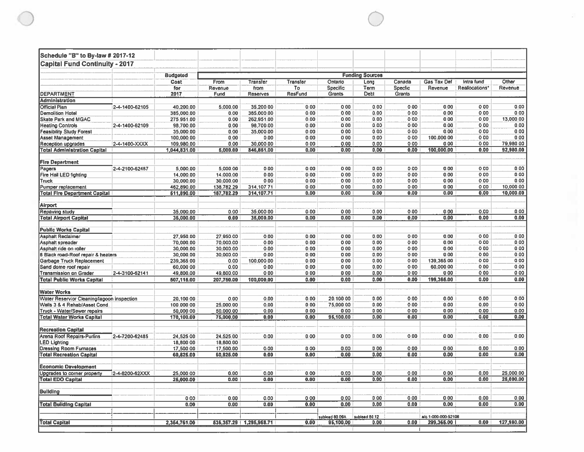| Schedule "B" to By-law # 2017-12                   |                 |                         |                        |                           |                |                     |               |                   |                               |                              |                  |
|----------------------------------------------------|-----------------|-------------------------|------------------------|---------------------------|----------------|---------------------|---------------|-------------------|-------------------------------|------------------------------|------------------|
| <b>Capital Fund Continuity - 2017</b>              |                 |                         |                        |                           |                |                     |               |                   |                               |                              |                  |
|                                                    |                 | <b>Budgeted</b>         | <b>Funding Sources</b> |                           |                |                     |               |                   |                               |                              |                  |
|                                                    |                 | Cost<br>for             | From<br>Revenue        | Transfer<br>from          | Transfer<br>To | Ontario<br>Specific | Long<br>Term  | Canada<br>Specfic | <b>Gas Tax Def</b><br>Revenue | Intra fund<br>Reallocations* | Other<br>Revenue |
| <b>DEPARTMENT</b>                                  |                 | 2017                    | Fund                   | <b>Reserves</b>           | <b>ResFund</b> | <b>Grants</b>       | Debt          | Grants            |                               |                              |                  |
| <b>Administration</b>                              |                 |                         |                        |                           |                |                     |               |                   |                               |                              |                  |
| <b>Official Plan</b>                               | 2-4-1400-62105  | 40,200.00               | 5,000.00               | 35,200.00                 | 0.00           | 0.00                | 0.00          | 0.00              | 0.00                          | 0.00                         | 0.00             |
| <b>Demolition Hotel</b>                            |                 | 385,000.00              | 0.00                   | 385,000.00                | 0.00           | 0.00                | 0.00          | 0.00              | 0.00                          | 0.00                         | 0.00             |
| <b>Skate Park and MGAC</b>                         |                 | 275.951.00              | 0.00                   | 262,951.00                | 0.00           | 0.00                | 0.00          | 0.00              | 0.00                          | 0.00                         | 13,000.00        |
| <b>Heating Controls</b>                            | 2-4-1400-62109  | 98,700.00               | 0.00                   | 98,700.00                 | 0.00           | 0.00                | 0.00          | 0.00              | 0.00                          | 0.00                         | 0,00             |
| <b>Feasibility Study Forest</b>                    |                 | 35,000.00               | 0.00                   | 35,000.00                 | 0.00           | 0.00                | 0.00          | 0.00              | 0.00                          | 0.00                         | 0.00             |
| <b>Asset Management</b>                            |                 | 100,000.00              | 0.00                   | 0.00                      | 0.00           | 0.00                | 0.00          | 0.00              | 100,000.00                    | 0.00                         | 0.00             |
| Reception upgrades                                 | 2-4-1400-XXXX   | 109,980.00              | 0.00                   | 30,000.00                 | 0.00           | 0.00                | 0.00          | 0.00              | 0.00                          | 0.00                         | 79,980.00        |
| <b>Total Administration Capital</b>                |                 | 1,044,831.00            | 5,000.00               | 846,851.00                | 0.00           | 0.00                | 0.00          | 0.00              | 100,000.00                    | 0.00                         | 92,980.00        |
| <b>Fire Department</b>                             |                 |                         |                        |                           |                |                     |               |                   |                               |                              |                  |
| Pagers                                             | 2-4-2100-62487  | 5,000.00                | 5,000.00               | 000                       | 0.00           | 0.00                | 0.00          | 0.00              | 0.00                          | 0.00                         | 0.00             |
| Fire Hall LED fighting                             |                 | 14,000.00               | 14,000.00              | 0.00                      | 0.00           | 0.00                | 0.00          | 0.00              | 0.00                          | 0.00                         | 0.00             |
| Truck                                              |                 | 30,000.00               | 30,000.00              | 0.00                      | 0.00           | 0.00                | 0.00          | 0.00              | 0.00                          | 0.00                         | 0.00             |
| Pumper replacement                                 |                 | 462,890.00              | 138,782.29             | 314,107.71                | 0.00           | 0.00                | 0.00          | 0.00              | 0.00                          | 0.00                         | 10,000.00        |
| <b>Total Fire Department Capital</b>               |                 | 611,890.00              | 187,782.29             | 314,107.71                | 0.00           | 0.00                | 0.00          | 0.00              | 0.00                          | 0.00                         | 10,000.00        |
| Airport                                            |                 |                         |                        |                           |                |                     |               |                   |                               |                              |                  |
| Repaving study                                     |                 | 35,000.00               | 0.00                   | 35,000 00                 | 0.00           | 0.00                | 0.00          | 0.00              | 0.00                          | 0.00                         | 0.00             |
| <b>Total Airport Capital</b>                       |                 | 35,000.00               | 0.00                   | 35,000.00                 | 0.00           | 0.00                | 0.00          | 0.00              | 0.00                          | 0.00                         | 0.00             |
|                                                    |                 |                         |                        |                           |                |                     |               |                   |                               |                              |                  |
| <b>Public Works Capital</b>                        |                 |                         |                        |                           |                |                     |               |                   |                               | 0.00                         | 0.00             |
| <b>Asphalt Reclaimer</b>                           |                 | 27,950.00               | 27,950.00              | 0.00                      | 0.00           | 0.00                | 0.00          | 0.00              | 0.00                          | 0.00                         | 0.00             |
| Asphalt spreader                                   |                 | 70,000.00               | 70,000.00              | 0.00                      | 0.00           | 0.00                | 0.00          | 0.00              | 0.00<br>0.00                  | 0.00                         | 0.00             |
| Asphalt ride on roller                             |                 | 30,000.00               | 30,000.00              | 0.00<br>0.00              | 0.00<br>0.00   | 0.00<br>0.00        | 0.00<br>0.00  | 0,00<br>0.00      | 0.00                          | 0.00                         | 0.00             |
| 8 Black road-Roof repair & heaters                 |                 | 30,000.00<br>239,365.00 | 30,000.00<br>0.00      | 100,000.00                | 0.00           | 0.00                | 0.00          | 0.00              | 139,365.00                    | 0.00                         | 0.00             |
| Garbage Truck Replacement<br>Sand dome roof repair |                 | 60,000 00               | 0.00                   | 0.00                      | 0.00           | 0.00                | 0.00          | 0.00              | 60,000.00                     | 0.00                         | 0.00             |
| Transmission on Grader                             | 2-4-3100-62141  | 49,800.00               | 49,800.00              | 0.00                      | 0.00           | 0.00                | 0.00          | 0.00              | 0.00                          | 0.00                         | 0.00             |
| <b>Total Public Works Capital</b>                  |                 | 507,115.00              | 207,750.00             | 100,000.00                | 0.00           | 0.00                | 0.00          | 0.00              | 199,365.00                    | 0.00                         | 0.00             |
|                                                    |                 |                         |                        |                           |                |                     |               |                   |                               |                              |                  |
| <b>Water Works</b>                                 |                 |                         |                        |                           |                |                     |               |                   |                               |                              |                  |
| Water Reservior Cleaning/lagoon inspection         |                 | 20,100.00               | 0.00                   | 0.00                      | 0.00           | 20.100.00           | 0.00          | 0.00              | 0.00                          | 0.00                         | 0.00             |
| Wells 3 & 4 Rehab/Asset Cond.                      |                 | 100.000.00              | 25,000.00              | 0.00                      | 0.00           | 75,000.00           | 0.00          | 0.00              | 0.00                          | 0.00                         | 0.00             |
| Truck - Water/Sewer repairs                        |                 | 50,000.00               | 50,000.00              | 0.00                      | 0.00           | 0.00                | 0.00          | 0.00              | 0.00                          | 0.00                         | 0.00             |
| <b>Total Water Works Capital</b>                   |                 | 170,100.00              | 75,000.00              | 0.00                      | 0.00           | 95,100.00           | 0.00          | 0.00              | 0.00                          | 0.00                         | 0.00             |
| <b>Recreation Capital</b>                          |                 |                         |                        |                           |                |                     |               |                   |                               |                              |                  |
| Arena Roof Repairs-Purlins                         | 2-4-7200-62485  | 24,525.00               | 24,525.00              | 0.00                      | 0.00           | 0.00                | 0.00          | 0.00              | 0.00                          | 0.00                         | 0.00             |
| LED Lighting                                       |                 | 18,800.00               | 18,800.00              |                           |                |                     |               |                   |                               |                              |                  |
| Dressing Room Furnaces                             |                 | 17,500.00               | 17,500.00              | 0.00                      | 0.00           | 0.00                | 0.00          | 0.00              | 0.00                          | 0.00                         | 0.00             |
| <b>Total Recreation Capital</b>                    |                 | 60,825.00               | 60,825.00              | 0.00                      | 0.00           | 0.00                | 0.00          | 0.00              | 0.00                          | 0.00                         | 0.00             |
| <b>Economic Development</b>                        |                 |                         |                        |                           |                |                     |               |                   |                               |                              |                  |
| Upgrades to comer property                         | 12-4-6200-62XXX | 25,000.00               | 0.00                   | 0.00                      | 0.00           | 0.00                | 0.00          | 0.00              | 0.00                          | 0.00                         | 25,000.00        |
| <b>Total EDO Capital</b>                           |                 | 25,000.00               | 0.00                   | 0.00                      | 0.00           | 0.00                | 0.00          | 0.00              | 0.00                          | 0.00                         | 25,000.00        |
| Building                                           |                 |                         |                        |                           |                |                     |               |                   |                               |                              |                  |
|                                                    |                 | 0.00                    | 0.00                   | 0.00                      | 0.00           | 0.00                | 0.00          | 0.00              | 0.00                          | 0.00                         | 0.00             |
| <b>Total Building Capital</b>                      |                 | 0.00                    | 0.00                   | 0.00                      | 0.00           | 0.00                | 0.00          | 0.00              | 0.00                          | 0.00                         | 0.00             |
|                                                    |                 |                         |                        |                           |                | sublead 80.09A      | sublead 50.12 |                   | a/c 1-000-000-52106           |                              |                  |
| <b>Total Capital</b>                               |                 | 2,354,761.00            |                        | 536,357.29   1,295,958.71 | 0.00           | 95,100.00           | 0.00          | 0.00              | 299,365.00                    | 0.00                         | 127,980.00       |
|                                                    |                 |                         |                        |                           |                |                     |               |                   |                               |                              |                  |